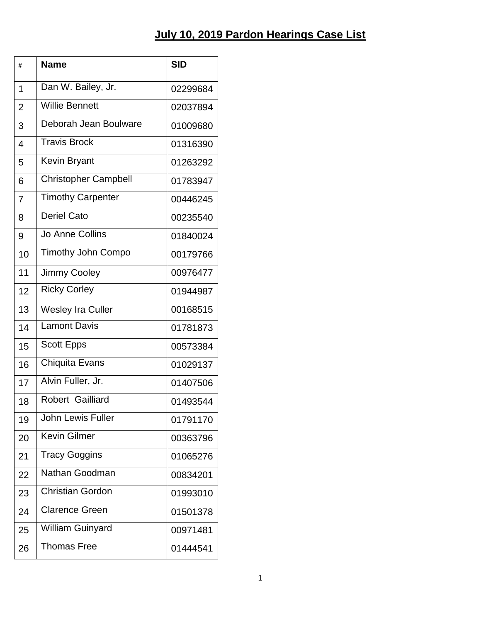| #              | <b>Name</b>                 | <b>SID</b> |
|----------------|-----------------------------|------------|
| 1              | Dan W. Bailey, Jr.          | 02299684   |
| $\overline{2}$ | <b>Willie Bennett</b>       | 02037894   |
| 3              | Deborah Jean Boulware       | 01009680   |
| 4              | <b>Travis Brock</b>         | 01316390   |
| 5              | Kevin Bryant                | 01263292   |
| 6              | <b>Christopher Campbell</b> | 01783947   |
| 7              | <b>Timothy Carpenter</b>    | 00446245   |
| 8              | <b>Deriel Cato</b>          | 00235540   |
| 9              | Jo Anne Collins             | 01840024   |
| 10             | <b>Timothy John Compo</b>   | 00179766   |
| 11             | <b>Jimmy Cooley</b>         | 00976477   |
| 12             | <b>Ricky Corley</b>         | 01944987   |
| 13             | <b>Wesley Ira Culler</b>    | 00168515   |
| 14             | <b>Lamont Davis</b>         | 01781873   |
| 15             | Scott Epps                  | 00573384   |
| 16             | Chiquita Evans              | 01029137   |
| 17             | Alvin Fuller, Jr.           | 01407506   |
| 18             | Robert Gailliard            | 01493544   |
| 19             | <b>John Lewis Fuller</b>    | 01791170   |
| 20             | <b>Kevin Gilmer</b>         | 00363796   |
| 21             | <b>Tracy Goggins</b>        | 01065276   |
| 22             | Nathan Goodman              | 00834201   |
| 23             | <b>Christian Gordon</b>     | 01993010   |
| 24             | <b>Clarence Green</b>       | 01501378   |
| 25             | <b>William Guinyard</b>     | 00971481   |
| 26             | Thomas Free                 | 01444541   |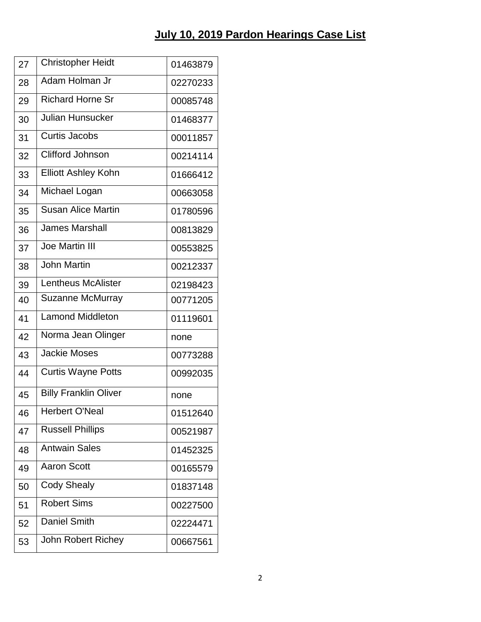| 27 | <b>Christopher Heidt</b>     | 01463879 |
|----|------------------------------|----------|
| 28 | Adam Holman Jr               | 02270233 |
| 29 | <b>Richard Horne Sr</b>      | 00085748 |
| 30 | Julian Hunsucker             | 01468377 |
| 31 | Curtis Jacobs                | 00011857 |
| 32 | <b>Clifford Johnson</b>      | 00214114 |
| 33 | <b>Elliott Ashley Kohn</b>   | 01666412 |
| 34 | Michael Logan                | 00663058 |
| 35 | <b>Susan Alice Martin</b>    | 01780596 |
| 36 | <b>James Marshall</b>        | 00813829 |
| 37 | Joe Martin III               | 00553825 |
| 38 | <b>John Martin</b>           | 00212337 |
| 39 | <b>Lentheus McAlister</b>    | 02198423 |
| 40 | Suzanne McMurray             | 00771205 |
| 41 | <b>Lamond Middleton</b>      | 01119601 |
| 42 | Norma Jean Olinger           | none     |
| 43 | <b>Jackie Moses</b>          | 00773288 |
| 44 | <b>Curtis Wayne Potts</b>    | 00992035 |
| 45 | <b>Billy Franklin Oliver</b> | none     |
| 46 | <b>Herbert O'Neal</b>        | 01512640 |
| 47 | <b>Russell Phillips</b>      | 00521987 |
| 48 | <b>Antwain Sales</b>         | 01452325 |
| 49 | <b>Aaron Scott</b>           | 00165579 |
| 50 | <b>Cody Shealy</b>           | 01837148 |
| 51 | <b>Robert Sims</b>           | 00227500 |
| 52 | <b>Daniel Smith</b>          | 02224471 |
| 53 | John Robert Richey           | 00667561 |
|    |                              |          |